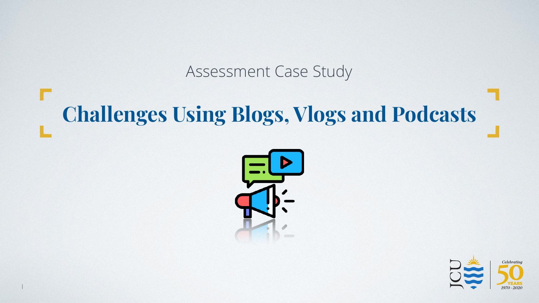### Assessment Case Study

# **Challenges Using Blogs, Vlogs and Podcasts**



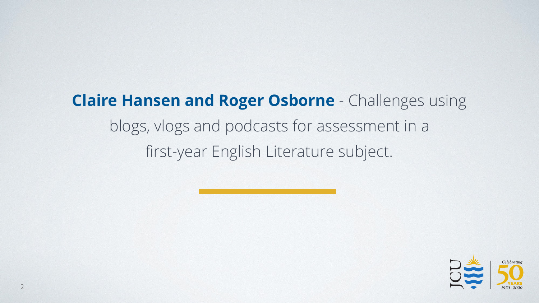## **Claire Hansen and Roger Osborne** - Challenges using blogs, vlogs and podcasts for assessment in a first-year English Literature subject.

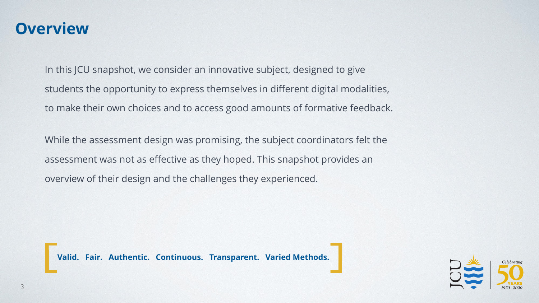### **Overview**

In this JCU snapshot, we consider an innovative subject, designed to give students the opportunity to express themselves in different digital modalities, to make their own choices and to access good amounts of formative feedback.

While the assessment design was promising, the subject coordinators felt the assessment was not as effective as they hoped. This snapshot provides an overview of their design and the challenges they experienced.



**Valid. Fair. Authentic. Continuous. Transparent. Varied Methods.**

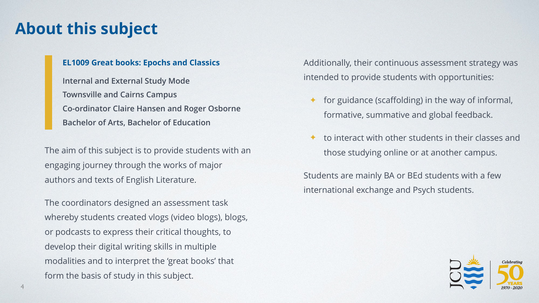### **About this subject**

#### **EL1009 Great books: Epochs and Classics**

**Internal and External Study Mode Townsville and Cairns Campus Co-ordinator Claire Hansen and Roger Osborne Bachelor of Arts, Bachelor of Education**

The aim of this subject is to provide students with an engaging journey through the works of major authors and texts of English Literature.

The coordinators designed an assessment task whereby students created vlogs (video blogs), blogs, or podcasts to express their critical thoughts, to develop their digital writing skills in multiple modalities and to interpret the 'great books' that form the basis of study in this subject.

Additionally, their continuous assessment strategy was intended to provide students with opportunities:

- for guidance (scaffolding) in the way of informal, formative, summative and global feedback.
- to interact with other students in their classes and those studying online or at another campus.

Students are mainly BA or BEd students with a few international exchange and Psych students.

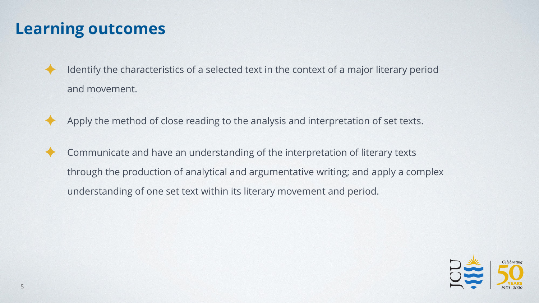### **Learning outcomes**

- Identify the characteristics of a selected text in the context of a major literary period and movement.
	- Apply the method of close reading to the analysis and interpretation of set texts.
- Communicate and have an understanding of the interpretation of literary texts through the production of analytical and argumentative writing; and apply a complex understanding of one set text within its literary movement and period.

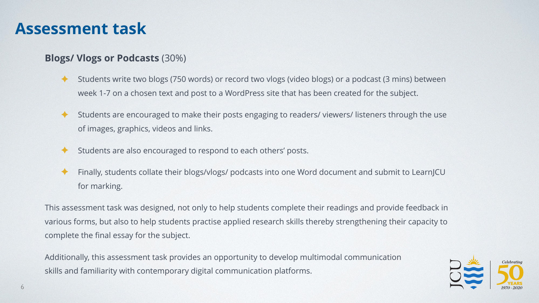### **Assessment task**

#### **Blogs/ Vlogs or Podcasts** (30%)

- ✦ Students write two blogs (750 words) or record two vlogs (video blogs) or a podcast (3 mins) between week 1-7 on a chosen text and post to a WordPress site that has been created for the subject.
- ✦ Students are encouraged to make their posts engaging to readers/ viewers/ listeners through the use of images, graphics, videos and links.
- ✦ Students are also encouraged to respond to each others' posts.
- Finally, students collate their blogs/vlogs/ podcasts into one Word document and submit to LearnJCU for marking.

This assessment task was designed, not only to help students complete their readings and provide feedback in various forms, but also to help students practise applied research skills thereby strengthening their capacity to complete the final essay for the subject.

Additionally, this assessment task provides an opportunity to develop multimodal communication skills and familiarity with contemporary digital communication platforms.

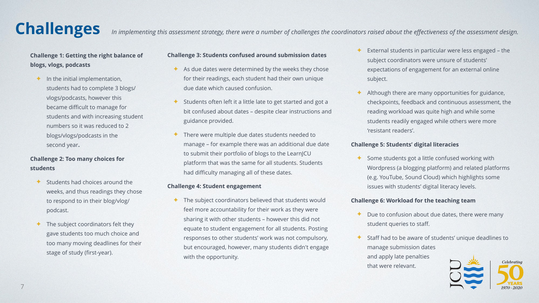### **Challenges**

In implementing this assessment strategy, there were a number of challenges the coordinators raised about the effectiveness of the assessment design.

#### **Challenge 1: Getting the right balance of blogs, vlogs, podcasts**

 $\triangleq$  In the initial implementation, students had to complete 3 blogs/ vlogs/podcasts, however this became difficult to manage for students and with increasing student numbers so it was reduced to 2 blogs/vlogs/podcasts in the second year**.**

#### **Challenge 2: Too many choices for students**

- ✦ Students had choices around the weeks, and thus readings they chose to respond to in their blog/vlog/ podcast.
- ✦ The subject coordinators felt they gave students too much choice and too many moving deadlines for their stage of study (first-year).

#### **Challenge 3: Students confused around submission dates**

- $\triangle$  As due dates were determined by the weeks they chose for their readings, each student had their own unique due date which caused confusion.
- Students often left it a little late to get started and got a bit confused about dates – despite clear instructions and guidance provided.
- ✦ There were multiple due dates students needed to manage – for example there was an additional due date to submit their portfolio of blogs to the LearnJCU platform that was the same for all students. Students had difficulty managing all of these dates.

#### **Challenge 4: Student engagement**

✦ The subject coordinators believed that students would feel more accountability for their work as they were sharing it with other students – however this did not equate to student engagement for all students. Posting responses to other students' work was not compulsory, but encouraged, however, many students didn't engage with the opportunity.

- External students in particular were less engaged the subject coordinators were unsure of students' expectations of engagement for an external online subject.
- Although there are many opportunities for guidance, checkpoints, feedback and continuous assessment, the reading workload was quite high and while some students readily engaged while others were more 'resistant readers'.

#### **Challenge 5: Students' digital literacies**

Some students got a little confused working with Wordpress (a blogging platform) and related platforms (e.g. YouTube, Sound Cloud) which highlights some issues with students' digital literacy levels.

#### **Challenge 6: Workload for the teaching team**

that were relevant.

- $\triangle$  Due to confusion about due dates, there were many student queries to staff.
- Staff had to be aware of students' unique deadlines to manage submission dates and apply late penalties

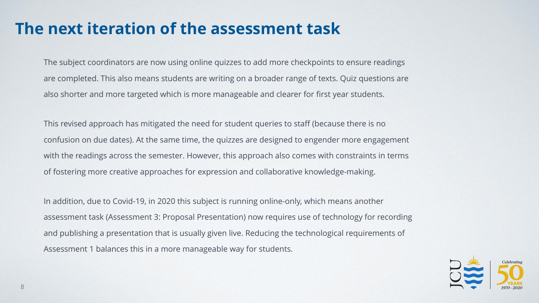### **The next iteration of the assessment task**

The subject coordinators are now using online quizzes to add more checkpoints to ensure readings are completed. This also means students are writing on a broader range of texts. Quiz questions are also shorter and more targeted which is more manageable and clearer for first year students.

This revised approach has mitigated the need for student queries to staff (because there is no confusion on due dates). At the same time, the quizzes are designed to engender more engagement with the readings across the semester. However, this approach also comes with constraints in terms of fostering more creative approaches for expression and collaborative knowledge-making.

In addition, due to Covid-19, in 2020 this subject is running online-only, which means another assessment task (Assessment 3: Proposal Presentation) now requires use of technology for recording and publishing a presentation that is usually given live. Reducing the technological requirements of Assessment 1 balances this in a more manageable way for students.

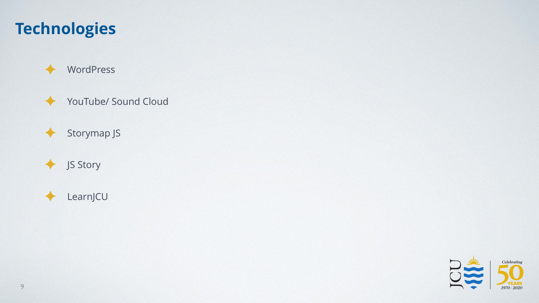### **Technologies**



✦ YouTube/ Sound Cloud

✦ Storymap JS